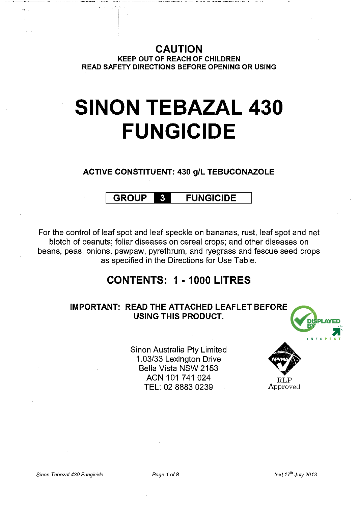CAUTION KEEP OUT OF REACH OF CHILDREN READ SAFETY DIRECTIONS BEFORE OPENING OR USING

# **SINON TEBAZAL 430 FUNGICIDE**

## ACTIVE CONSTITUENT: 430 g/L TEBUCONAZOLE

#### **GROUP**  $\mathbf{3}$ FUNGICIDE

For the control of leaf spot and leaf speckle on bananas, rust, leaf spot and net blotch of peanuts; foliar diseases on cereal crops; and other diseases on beans, peas, onions, pawpaw, pyrethrum, and ryegrass and fescue seed crops as specified in the Directions for Use Table.

## CONTENTS: 1 - 1000 LITRES

## IMPORTANT: READ THE ATTACHED LEAFLET BEFORE USING THIS PRODUCT.

Sinon Australia Pty Limited 1.03/33 Lexington Drive Bella Vista NSW 2153 ACN 101 741 024 TEL: 02 8883 0239



Approved

 $\sim$  .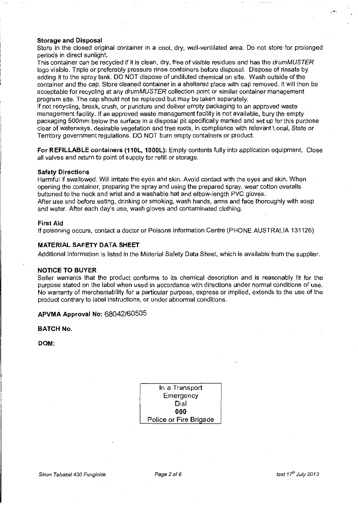#### **Storage and Disposal**

Store in the closed original container in a cool, dry, well-ventilated area. Do not store for prolonged periods in direct sunlight.

This container can be recycled if it is clean, dry, free of visible residues and has the drumMUSTER logo visible. Triple or preferably pressure rinse containers before disposal. Dispose of rinsate by adding it to the spray tank. DO NOT dispose of undiluted chemical on site. Wash outside of the container and the cap. Store cleaned container in a sheltered place with cap removed. It will then be acceptable for recycling at any drumMUSTER collection point or similar container management program site. The cap should not be replaced but may be taken separately.

If not recycling, break, crush, or puncture and deliver empty packaging to an approved waste management facility. If an approved waste management facility is not available, bury the empty packaging 500mm below the surface in a disposal pit specifically marked and set up for this purpose clear of waterways, desirable vegetation and tree roots, in compliance with relevant Local, State or Territory government regulations. DO NOT burn empty containers or product.

**For REFILLABLE containers (110L, 1000L):** Empty contents fully into application equipment. Close all valves and return to point of supply for refill or storage.

#### **Safety Directions**

Harmful if swallowed. Will irritate the eyes and skin. Avoid contact with the eyes and skin. When opening the container, preparing the spray and using the prepared spray, wear cotton overalls buttoned to the neck and wrist and a washable hat and elbow-length PVC gloves.

After use and before eating, drinking or smoking, wash hands, arms and face thoroughly with soap and water. After each day's use, wash gloves and contaminated clothing.

#### **First Aid**

If poisoning occurs, contact a doctor or Poisons Information Centre (PHONE AUSTRALIA 131126)

### **MATERIAL SAFETY DATA SHEET**

Additional information is listed in the Material Safety Data Sheet, which is available from the supplier.

#### **NOTICE TO BUYER**

Seller warrants that the product conforms to its chemical description and is reasonably fit for the purpose stated on the label when used in accordance with directions under normal conditions of use. No warranty of merchantability for a particular purpose, express or implied, extends to the use of the product contrary to label instructions, or under abnormal conditions.

#### **APVMA Approval No:** 68042/60505

**BATCH No.** 

**DOM:** 

| In a Transport         |
|------------------------|
| Emergency              |
| Dial                   |
| 000                    |
| Police or Fire Brigade |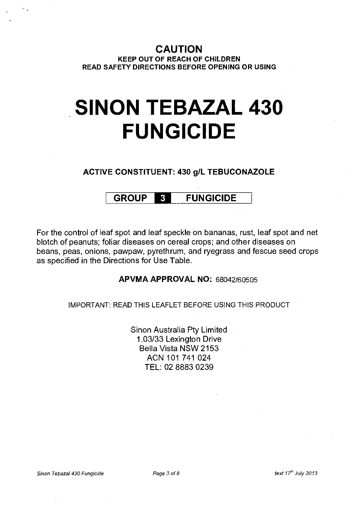**CAUTION KEEP OUT OF REACH OF CHILDREN READ SAFETY DIRECTIONS BEFORE OPENING OR USING** 

# **SINON TEBAZAL 430 FUNGICIDE**

**ACTIVE CONSTITUENT: 430 g/L TEBUCONAZOLE** 

#### **GROUP FUNGICIDE**   $\mathbf{3}$

For the control of leaf spot and leaf speckle on bananas, rust, leaf spot and net blotch of peanuts; foliar diseases on cereal crops; and other diseases on beans, peas, onions, pawpaw, pyrethrum, and ryegrass and fescue seed crops as specified in the Directions for Use Table.

## **APVMA APPROVAL NO:** 68042/60505

IMPORTANT: READ THIS LEAFLET BEFORE USING THIS PRODUCT

Sinon Australia Pty Limited 1.03/33 Lexington Drive Bella Vista NSW 2153 ACN 101 741 024 **TEL:** 02 8883 0239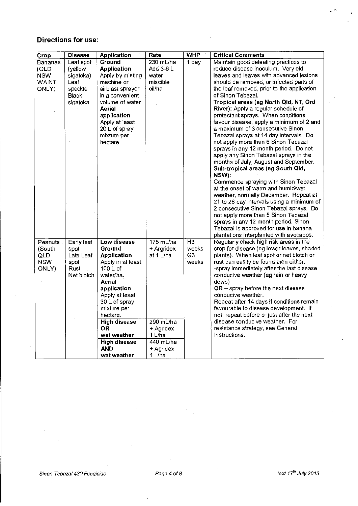## **Directions for use:**

| Crop       | <b>Disease</b> | <b>Application</b>  | Rate                | <b>WHP</b>     | <b>Critical Comments</b>                   |
|------------|----------------|---------------------|---------------------|----------------|--------------------------------------------|
| Bananas    | Leaf spot      | Ground              | 230 mL/ha           | 1 day          | Maintain good deleafing practices to       |
| (QLD       | (yellow        | <b>Application</b>  | Add 3-6 L           |                | reduce disease inoculum. Very old          |
| <b>NSW</b> | sigatoka)      | Apply by misting    | water               |                | leaves and leaves with advanced lesions    |
| WA NT      | Leaf           | machine or          | miscible            |                | should be removed, or infected parts of    |
| ONLY)      | speckle        | airblast sprayer    | oil/ha              |                | the leaf removed, prior to the application |
|            | <b>Black</b>   | in a convenient     |                     |                | of Sinon Tebazal.                          |
|            | sigatoka       | volume of water     |                     |                | Tropical areas (eg North Qld, NT, Ord      |
|            |                | Aerial              |                     |                | River): Apply a regular schedule of        |
|            |                | application         |                     |                | protectant sprays. When conditions         |
|            |                | Apply at least      |                     |                | favour disease, apply a minimum of 2 and   |
|            |                | 20 L of spray       |                     |                | a maximum of 3 consecutive Sinon           |
|            |                | mixture per         |                     |                | Tebazal sprays at 14 day intervals. Do     |
|            |                | hectare             |                     |                | not apply more than 6 Sinon Tebazal        |
|            |                |                     |                     |                | sprays in any 12 month period. Do not      |
|            |                |                     |                     |                | apply any Sinon Tebazal sprays in the      |
|            |                |                     |                     |                | months of July, August and September.      |
|            |                |                     |                     |                | Sub-tropical areas (eg South Qld,          |
|            |                |                     |                     |                | NSW):                                      |
|            |                |                     |                     |                | Commence spraying with Sinon Tebazal       |
|            |                |                     |                     |                | at the onset of warm and humid/wet         |
|            |                |                     |                     |                | weather, normally December. Repeat at      |
|            |                |                     |                     |                | 21 to 28 day intervals using a minimum of  |
|            |                |                     |                     |                | 2 consecutive Sinon Tebazal sprays. Do     |
|            |                |                     |                     |                | not apply more than 5 Sinon Tebazal        |
|            |                |                     |                     |                | sprays in any 12 month period. Sinon       |
|            |                |                     |                     |                | Tebazal is approved for use in banana      |
|            |                |                     |                     |                | plantations interplanted with avocados.    |
| Peanuts    | Early leaf     | Low disease         | $175 \text{ mL/ha}$ | $\overline{H}$ | Regularly check high risk areas in the     |
| (South     | spot.          | Ground              | + Argridex          | weeks          | crop for disease (eg lower leaves, shaded  |
| QLD        | Late Leaf      | <b>Application</b>  | at 1 L/ha           | G <sub>3</sub> | plants). When leaf spot or net blotch or   |
| <b>NSW</b> | spot           | Apply in at least   |                     | weeks          | rust can easily be found then either:      |
| ONLY)      | Rust           | 100 L of            |                     |                | -spray immediately after the last disease  |
|            | Net blotch     | water/ha.           |                     |                | conducive weather (eg rain or heavy        |
|            |                | Aerial              |                     |                | dews)                                      |
|            |                | application         |                     |                | OR - spray before the next disease         |
|            |                | Apply at least      |                     |                | conducive weather.                         |
|            |                | 30 L of spray       |                     |                | Repeat after 14 days if conditions remain  |
|            |                | mixture per         |                     |                | favourable to disease development. If      |
|            |                | hectare.            |                     |                | not, repeat before or just after the next  |
|            |                | <b>High disease</b> | 290 mL/ha           |                | disease conducive weather. For             |
|            |                | OR.                 | + Agridex           |                | resistance strategy, see General           |
|            |                | wet weather         | 1 L/ha              |                | <b>Instructions</b>                        |
|            |                | <b>High disease</b> | 440 mL/ha           |                |                                            |
|            |                | <b>AND</b>          | + Agridex           |                |                                            |
|            |                | wet weather         | $1$ L/ha            |                |                                            |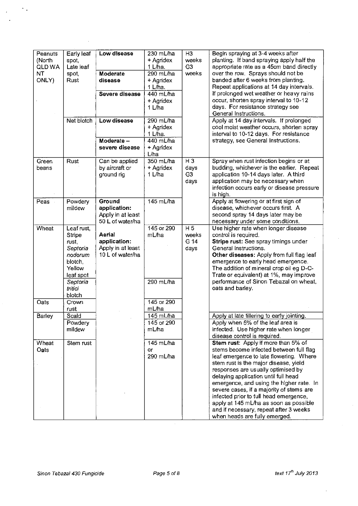| Peanuts | Early leaf | Low disease       | 230 mL/ha  | H3             | Begin spraying at 3-4 weeks after          |
|---------|------------|-------------------|------------|----------------|--------------------------------------------|
| (North  | spot,      |                   | + Agridex  | weeks          | planting. If band spraying apply half the  |
| QLD WA  | Late leaf  |                   | 1 L/ha.    | G <sub>3</sub> | appropriate rate as a 45cm band directly   |
| NT      | spot,      | Moderate          | 290 mL/ha  | weeks          | over the row. Sprays should not be         |
| ONLY)   | Rust       | disease           | + Agridex  |                | banded after 6 weeks from planting.        |
|         |            |                   | 1 L/ha.    |                | Repeat applications at 14 day intervals.   |
|         |            | Severe disease    | 440 mL/ha  |                | If prolonged wet weather or heavy rains    |
|         |            |                   | + Agridex  |                | occur, shorten spray interval to 10-12     |
|         |            |                   | 1 L/ha     |                | days. For resistance strategy see          |
|         |            |                   |            |                | General Instructions.                      |
|         | Net blotch | Low disease       | 290 mL/ha  |                | Apply at 14 day intervals. If prolonged    |
|         |            |                   | + Agridex  |                | cool moist weather occurs, shorten spray   |
|         |            |                   | 1 L/ha.    |                | interval to 10-12 days. For resistance     |
|         |            | Moderate -        | 440 mL/ha  |                | strategy, see General Instructions.        |
|         |            | severe disease    | + Agridex  |                |                                            |
|         |            |                   | L/ha       |                |                                            |
| Green   | Rust       | Can be applied    | 350 mL/ha  | $H_3$          | Spray when rust infection begins or at     |
| beans   |            | by aircraft or    | + Agridex  | days           | budding, whichever is the earlier. Repeat  |
|         |            | ground rig        | 1 L/ha     | G <sub>3</sub> | application 10-14 days later. A third      |
|         |            |                   |            | days           | application may be necessary when          |
|         |            |                   |            |                | infection occurs early or disease pressure |
|         |            |                   |            |                | is high.                                   |
| Peas    | Powdery    | Ground            | 145 mL/ha  |                | Apply at flowering or at first sign of     |
|         | mildew     | application:      |            |                | disease, whichever occurs first. A         |
|         |            | Apply in at least |            |                | second spray 14 days later may be          |
|         |            | 50 L of water/ha  |            |                | necessary under some conditions.           |
| Wheat   | Leaf rust, |                   | 145 or 290 | H <sub>5</sub> | Use higher rate when longer disease        |
|         | Stripe     | Aerial            | mL/ha      | weeks          | control is required.                       |
|         | rust,      | application:      |            | G 14           | Stripe rust: See spray timings under       |
|         | Septoria   | Apply in at least |            | days           | General Instructions.                      |
|         | nodorum    | 10 L of water/ha  |            |                | Other diseases: Apply from full flag leaf  |
|         | blotch,    |                   |            |                | emergence to early head emergence.         |
|         | Yellow     |                   |            |                | The addition of mineral crop oil eg D-C-   |
|         | leaf spot  |                   |            |                | Trate or equivalent) at 1%, may improve    |
|         | Septoria   |                   | 290 mL/ha  |                | performance of Sinon Tebazal on wheat,     |
|         | tritici    |                   |            |                | oats and barley.                           |
|         | blotch     |                   |            |                |                                            |
| Oats    | Crown      |                   | 145 or 290 |                |                                            |
|         | rust       |                   | mL/ha      |                |                                            |
| Barley  | Scald      |                   | 145 mL/ha  |                | Apply at late tillering to early jointing. |
|         | Powdery    |                   | 145 or 290 |                | Apply when 5% of the leaf area is          |
|         | mildew     |                   | mL/ha      |                | infected. Use higher rate when longer      |
|         |            |                   |            |                | disease control is required.               |
| Wheat   | Stem rust  |                   | 145 mL/ha  |                | Stem rust: Apply if more than 5% of        |
| Oats    |            |                   | 0r         |                | stems become infected between full flag    |
|         |            |                   | 290 mL/ha  |                | leaf emergence to late flowering. Where    |
|         |            |                   |            |                | stem rust is the major disease, yield      |
|         |            |                   |            |                | responses are usually optimised by         |
|         |            |                   |            |                | delaying application until full head       |
|         |            |                   |            |                |                                            |
|         |            |                   |            |                | emergence, and using the higher rate. In   |
|         |            |                   |            |                | severe cases, if a majority of stems are   |
|         |            |                   |            |                | infected prior to full head emergence,     |
|         |            |                   |            |                | apply at 145 mL/ha as soon as possible     |
|         |            |                   |            |                | and if necessary, repeat after 3 weeks     |
|         |            |                   |            |                | when heads are fully emerged.              |

 $\sigma_{\rm{eff}}$ 

 $\mathbf{u}^{\dagger}$ 

l,

l,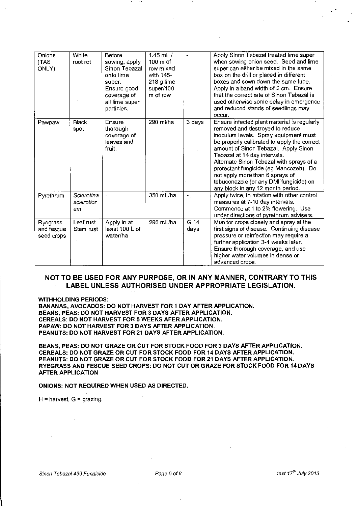| Onions<br>(TAS<br>ONLY)              | White<br>root rot              | Before<br>sowing, apply<br>Sinon Tebazal<br>onto lime<br>super.<br>Ensure good<br>coverage of<br>all lime super<br>particles. | 1.45 $mL/$<br>$100m$ of<br>row mixed<br>with 145-<br>218 g lime<br>super/100<br>m of row |              | Apply Sinon Tebazal treated lime super<br>when sowing onion seed. Seed and lime<br>super can either be mixed in the same<br>box on the drill or placed in different<br>boxes and sown down the same tube.<br>Apply in a band width of 2 cm. Ensure<br>that the correct rate of Sinon Tebazal is<br>used otherwise some delay in emergence<br>and reduced stands of seedlings may<br>occur.                                                             |
|--------------------------------------|--------------------------------|-------------------------------------------------------------------------------------------------------------------------------|------------------------------------------------------------------------------------------|--------------|--------------------------------------------------------------------------------------------------------------------------------------------------------------------------------------------------------------------------------------------------------------------------------------------------------------------------------------------------------------------------------------------------------------------------------------------------------|
| Pawpaw                               | <b>Black</b><br>spot           | Ensure<br>thorough<br>coverage of<br>leaves and<br>fruit.                                                                     | 290 ml/ha                                                                                | 3 days       | Ensure infected plant material is regularly<br>removed and destroyed to reduce<br>inoculum levels. Spray equipment must<br>be properly calibrated to apply the correct<br>amount of Sinon Tebazal. Apply Sinon<br>Tebazal at 14 day intervals.<br>Alternate Sinon Tebazal with sprays of a<br>protectant fungicide (eg Mancozeb). Do<br>not apply more than 6 sprays of<br>tebuconazole (or any DMI fungicide) on<br>any block in any 12 month period. |
| Pyrethrum                            | Scierotina<br>sclerotior<br>um | $\blacksquare$                                                                                                                | 350 mL/ha                                                                                | $\sim$       | Apply twice, in rotation with other control<br>measures at 7-10 day intervals.<br>Commence at 1 to 2% flowering. Use<br>under directions of pyrethrum advisers.                                                                                                                                                                                                                                                                                        |
| Ryegrass<br>and fescue<br>seed crops | Leaf rust<br>Stem rust         | Apply in at<br>least 100 L of<br>water/ha                                                                                     | 290 mL/ha                                                                                | G 14<br>days | Monitor crops closely and spray at the<br>first signs of disease. Continuing disease<br>pressure or reinfection may require a<br>further application 3-4 weeks later.<br>Ensure thorough coverage, and use<br>higher water volumes in dense or<br>advanced crops.                                                                                                                                                                                      |

### **NOT TO BE USED FOR ANY PURPOSE, OR IN ANY MANNER, CONTRARY TO THIS LABEL UNLESS AUTHORISED UNDER APPROPRIATE LEGISLATION.**

**WITHHOLDING PERIODS:** 

**BANANAS, AVOCADOS: DO NOT HARVEST FOR 1 DAY AFTER APPLICATION. BEANS, PEAS: DO NOT HARVEST FOR 3 DAYS AFTER APPLICATION. CEREALS: DO NOT HARVEST FOR 5 WEEKS AFER APPLICATION. PAPAW: DO NOT HARVEST FOR 3 DAYS AFTER APPLICATION PEANUTS: DO NOT HARVEST FOR21 DAYS AFTER APPLICATION.** 

**BEANS, PEAS: DO NOT GRAZE OR CUT FOR STOCK FOOD FOR 3 DAYS AFTER APPLICATION. CEREALS: DO NOT GRAZE OR CUT FOR STOCK FOOD FOR 14 DAYS AFTER APPLICATION. PEANUTS: DO NOT GRAZE OR CUT FOR STOCK FOOD FOR 21 DAYS AFTER APPLICATION. RYEGRASS AND FESCUE SEED CROPS: DO NOT CUT OR GRAZE FOR STOCK FOOD FOR 14 DAYS AFTER APPLICATION** 

#### **ONIONS: NOT REQUIRED WHEN USED AS DIRECTED.**

 $H =$  harvest,  $G =$  grazing.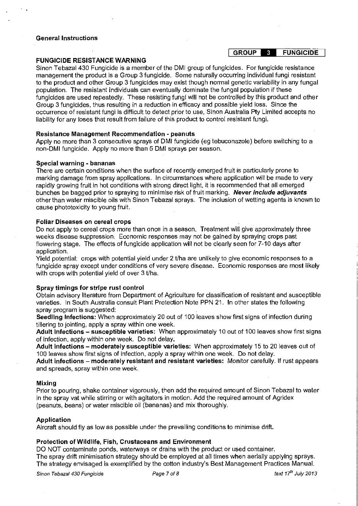#### **General Instructions**

#### **FUNGICIDE RESISTANCE WARNING**

Sinon Tebazal 430 Fungicide is a member of the DMI group of fungicides. For fungicide resistance management the product is a Group 3 fungicide. Some naturally occurring individual fungi resistant to the product and other Group 3 fungicides may exist though normal genetic variability in any fungal population. The resistant individuals can eventually dominate the fungal population if these fungicides are used repeatedly. These resisting fungi will not be controlled by this product and other Group 3 fungicides, thus resulting in a reduction in efficacy and possible yield loss. Since the occurrence of resistant fungi is difficult to detect prior to use, Sinon Australia Pty Limited accepts no liability for any loses that result from failure of this product to control resistant fungi.

#### **Resistance Management Recommendation - peanuts**

Apply no more than 3 consecutive sprays of DMI fungicide ( eg tebuconazole) before switching to a non-DMI fungicide. Apply no more than 5 DMI sprays per season.

#### **Special warning - bananas**

There are certain conditions when the surface of recently emerged fruit is particularly prone to marking damage from spray applications. In circumstances where application will be made to very rapidly growing fruit in hot conditions with strong direct light, it is recommended that all emerged bunches be bagged prior to spraying to minimise risk of fruit marking. **Never include adjuvants**  other than water miscible oils with Sinon Tebazal sprays. The inclusion of wetting agents is known to cause phototoxicity to young fruit.

#### **Foliar Diseases on cereal crops**

Do not apply to cereal crops more than once in a season. Treatment will give approximately three weeks disease suppression. Economic responses may not be gained by spraying crops past flowering stage. The effects of fungicide application will not be clearly seen for 7-10 days after application.

Yield potential: crops with potential yield under 2 tlha are unlikely to give economic responses to a fungicide spray except under conditions of very severe disease. Economic responses are most likely with crops with potential yield of over 3 t/ha.

### **Spray timings for stripe rust control**

Obtain advisory literature from Department of Agriculture for classification of resistant and susceptible varieties. In South Australia consult Plant Protection Note PPN 21. In other states the following spray program is suggested:

**Seedling Infections:** When approximately 20 out of 100 leaves show first signs of infection during tillering to jointing, apply a spray within one week.

**Adult infections- susceptible varieties:** When approximately 10 out of 100 leaves show first signs of infection, apply within one week. Do not delay.

**Adult infections- moderately susceptible varieties:** When approximately 15 to 20 leaves out of 100 leaves show first signs of infection, apply a spray within one week. Do not delay.

**Adult infections- moderately resistant and resistant varieties:** Monitor carefully. If rust appears and spreads, spray within one week.

#### **Mixing**

Prior to pouring, shake container vigorously, then add the required amount of Sinon Tebazal to water in the spray vat while stirring or with agitators in motion. Add the required amount of Agridex (peanuts, beans) or water miscible oil (bananas) and mix thoroughly.

### **Application**

Aircraft should fly as low as possible under the prevailing conditions to minimise drift.

### **Protection of Wildlife, Fish, Crustaceans and Environment**

DO NOT contaminate ponds, waterways or drains with the product or used container. The spray drift minimisation strategy should be employed at all times when aerially applying sprays. The strategy envisaged is exemplified by the cotton industry's Best Management Practices Manual.

**Sinon Tebazal 430 Fungicide** Page 7 of 8 text *17"* July *2013* 

#### I **GROUP - FUNGICIDE**